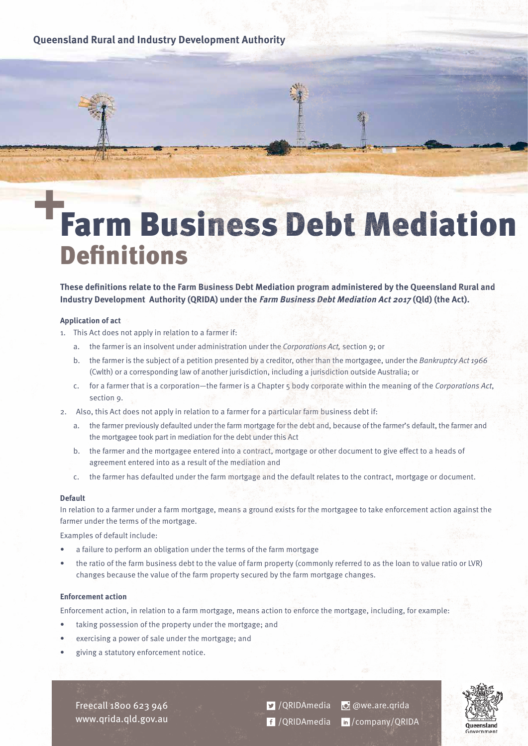## **Queensland Rural and Industry Development Authority**

# Farm Business Debt Mediation **Definitions**

**These definitions relate to the Farm Business Debt Mediation program administered by the Queensland Rural and Industry Development Authority (QRIDA) under the Farm Business Debt Mediation Act 2017 (Qld) (the Act).**

#### **Application of act**

- 1. This Act does not apply in relation to a farmer if:
	- a. the farmer is an insolvent under administration under the Corporations Act, section 9; or
	- b. the farmer is the subject of a petition presented by a creditor, other than the mortgagee, under the Bankruptcy Act 1966 (Cwlth) or a corresponding law of another jurisdiction, including a jurisdiction outside Australia; or
	- c. for a farmer that is a corporation—the farmer is a Chapter  $\frac{1}{2}$  body corporate within the meaning of the Corporations Act, section 9.
- 2. Also, this Act does not apply in relation to a farmer for a particular farm business debt if:
	- a. the farmer previously defaulted under the farm mortgage for the debt and, because of the farmer's default, the farmer and the mortgagee took part in mediation for the debt under this Act
	- b. the farmer and the mortgagee entered into a contract, mortgage or other document to give effect to a heads of agreement entered into as a result of the mediation and
	- c. the farmer has defaulted under the farm mortgage and the default relates to the contract, mortgage or document.

## **Default**

In relation to a farmer under a farm mortgage, means a ground exists for the mortgagee to take enforcement action against the farmer under the terms of the mortgage.

Examples of default include:

- a failure to perform an obligation under the terms of the farm mortgage
- the ratio of the farm business debt to the value of farm property (commonly referred to as the loan to value ratio or LVR) changes because the value of the farm property secured by the farm mortgage changes.

#### **Enforcement action**

Enforcement action, in relation to a farm mortgage, means action to enforce the mortgage, including, for example:

- taking possession of the property under the mortgage; and
- exercising a power of sale under the mortgage; and
- giving a statutory enforcement notice.

Freecall 1800 623 946 www.qrida.qld.gov.au **D** /QRIDAmedia **D** @we.are.qrida /QRIDAmedia /company/QRIDA